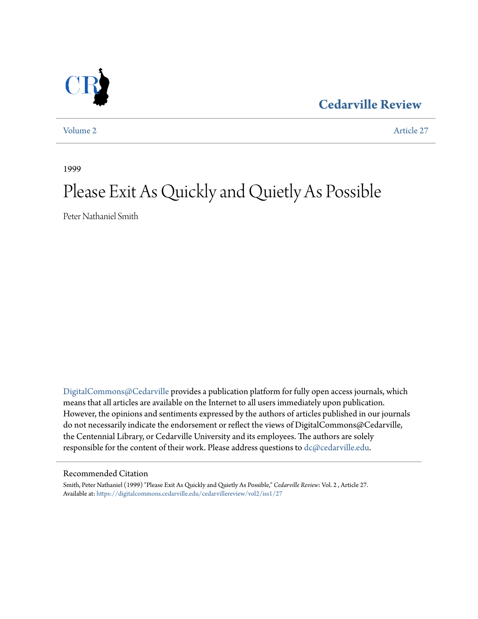**[Cedarville Review](https://digitalcommons.cedarville.edu/cedarvillereview?utm_source=digitalcommons.cedarville.edu%2Fcedarvillereview%2Fvol2%2Fiss1%2F27&utm_medium=PDF&utm_campaign=PDFCoverPages)**

[Volume 2](https://digitalcommons.cedarville.edu/cedarvillereview/vol2?utm_source=digitalcommons.cedarville.edu%2Fcedarvillereview%2Fvol2%2Fiss1%2F27&utm_medium=PDF&utm_campaign=PDFCoverPages) [Article 27](https://digitalcommons.cedarville.edu/cedarvillereview/vol2/iss1/27?utm_source=digitalcommons.cedarville.edu%2Fcedarvillereview%2Fvol2%2Fiss1%2F27&utm_medium=PDF&utm_campaign=PDFCoverPages)

1999

# Please Exit As Quickly and Quietly As Possible

Peter Nathaniel Smith

[DigitalCommons@Cedarville](http://digitalcommons.cedarville.edu) provides a publication platform for fully open access journals, which means that all articles are available on the Internet to all users immediately upon publication. However, the opinions and sentiments expressed by the authors of articles published in our journals do not necessarily indicate the endorsement or reflect the views of DigitalCommons@Cedarville, the Centennial Library, or Cedarville University and its employees. The authors are solely responsible for the content of their work. Please address questions to [dc@cedarville.edu](mailto:dc@cedarville.edu).

#### Recommended Citation

Smith, Peter Nathaniel (1999) "Please Exit As Quickly and Quietly As Possible," *Cedarville Review*: Vol. 2 , Article 27. Available at: [https://digitalcommons.cedarville.edu/cedarvillereview/vol2/iss1/27](https://digitalcommons.cedarville.edu/cedarvillereview/vol2/iss1/27?utm_source=digitalcommons.cedarville.edu%2Fcedarvillereview%2Fvol2%2Fiss1%2F27&utm_medium=PDF&utm_campaign=PDFCoverPages)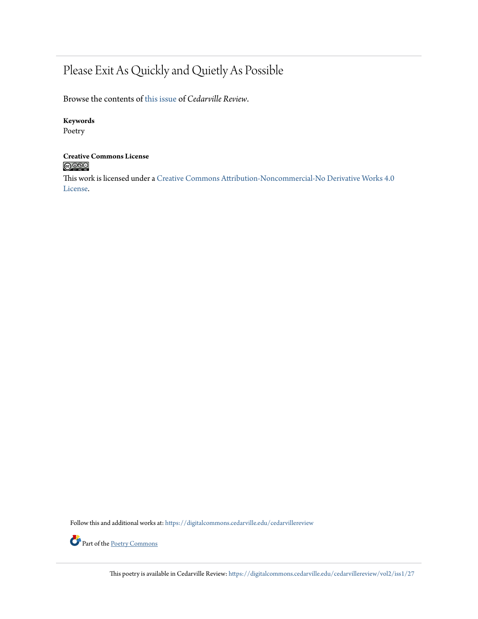### Please Exit As Quickly and Quietly As Possible

Browse the contents of [this issue](https://digitalcommons.cedarville.edu/cedarvillereview/vol2/iss1) of *Cedarville Review*.

#### **Keywords**

Poetry

## **Creative Commons License**<br> **C** 000

This work is licensed under a [Creative Commons Attribution-Noncommercial-No Derivative Works 4.0](http://creativecommons.org/licenses/by-nc-nd/4.0/) [License.](http://creativecommons.org/licenses/by-nc-nd/4.0/)

Follow this and additional works at: [https://digitalcommons.cedarville.edu/cedarvillereview](https://digitalcommons.cedarville.edu/cedarvillereview?utm_source=digitalcommons.cedarville.edu%2Fcedarvillereview%2Fvol2%2Fiss1%2F27&utm_medium=PDF&utm_campaign=PDFCoverPages)



This poetry is available in Cedarville Review: [https://digitalcommons.cedarville.edu/cedarvillereview/vol2/iss1/27](https://digitalcommons.cedarville.edu/cedarvillereview/vol2/iss1/27?utm_source=digitalcommons.cedarville.edu%2Fcedarvillereview%2Fvol2%2Fiss1%2F27&utm_medium=PDF&utm_campaign=PDFCoverPages)